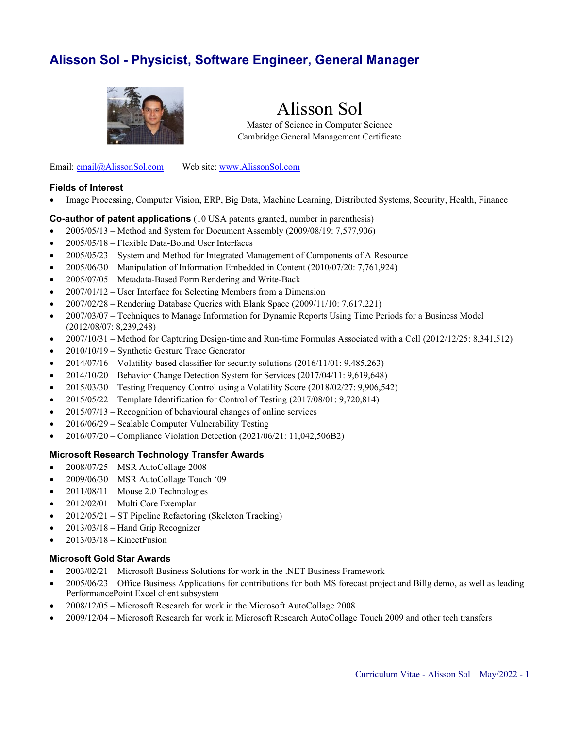# **Alisson Sol - Physicist, Software Engineer, General Manager**



# Alisson Sol

Master of Science in Computer Science Cambridge General Management Certificate

Email: [email@AlissonSol.com](mailto:email@AlissonSol.com) Web site: [www.AlissonSol.com](http://www.alissonsol.com/)

#### **Fields of Interest**

• Image Processing, Computer Vision, ERP, Big Data, Machine Learning, Distributed Systems, Security, Health, Finance

#### **Co-author of patent applications** (10 USA patents granted, number in parenthesis)

- $2005/05/13$  Method and System for Document Assembly  $(2009/08/19: 7,577,906)$
- 2005/05/18 Flexible Data-Bound User Interfaces
- 2005/05/23 System and Method for Integrated Management of Components of A Resource
- 2005/06/30 Manipulation of Information Embedded in Content (2010/07/20: 7,761,924)
- 2005/07/05 Metadata-Based Form Rendering and Write-Back
- 2007/01/12 User Interface for Selecting Members from a Dimension
- 2007/02/28 Rendering Database Queries with Blank Space (2009/11/10: 7,617,221)
- 2007/03/07 Techniques to Manage Information for Dynamic Reports Using Time Periods for a Business Model (2012/08/07: 8,239,248)
- 2007/10/31 Method for Capturing Design-time and Run-time Formulas Associated with a Cell (2012/12/25: 8,341,512)
- 2010/10/19 Synthetic Gesture Trace Generator
- 2014/07/16 Volatility-based classifier for security solutions (2016/11/01: 9,485,263)
- 2014/10/20 Behavior Change Detection System for Services (2017/04/11: 9,619,648)
- 2015/03/30 Testing Frequency Control using a Volatility Score (2018/02/27: 9,906,542)
- 2015/05/22 Template Identification for Control of Testing (2017/08/01: 9,720,814)
- $2015/07/13$  Recognition of behavioural changes of online services
- 2016/06/29 Scalable Computer Vulnerability Testing
- 2016/07/20 Compliance Violation Detection (2021/06/21: 11,042,506B2)

#### **Microsoft Research Technology Transfer Awards**

- 2008/07/25 MSR AutoCollage 2008
- 2009/06/30 MSR AutoCollage Touch '09
- 2011/08/11 Mouse 2.0 Technologies
- 2012/02/01 Multi Core Exemplar
- 2012/05/21 ST Pipeline Refactoring (Skeleton Tracking)
- 2013/03/18 Hand Grip Recognizer
- 2013/03/18 KinectFusion

#### **Microsoft Gold Star Awards**

- 2003/02/21 Microsoft Business Solutions for work in the .NET Business Framework
- 2005/06/23 Office Business Applications for contributions for both MS forecast project and Billg demo, as well as leading PerformancePoint Excel client subsystem
- 2008/12/05 Microsoft Research for work in the Microsoft AutoCollage 2008
- 2009/12/04 Microsoft Research for work in Microsoft Research AutoCollage Touch 2009 and other tech transfers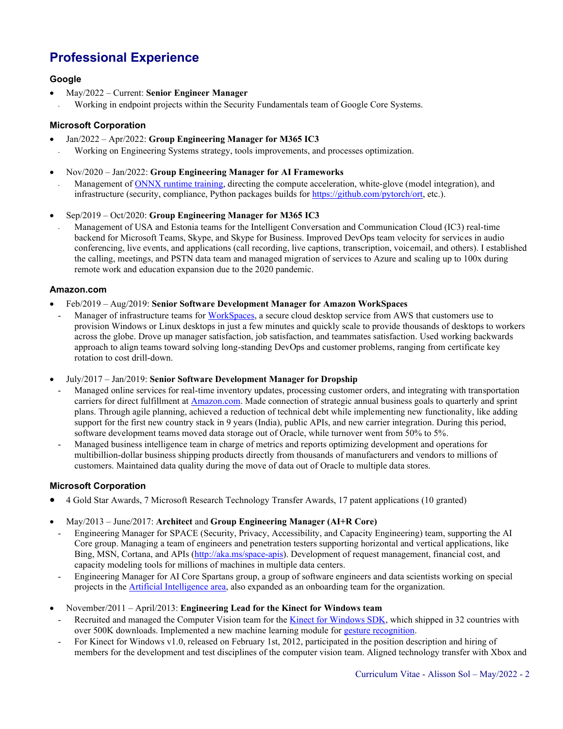# **Professional Experience**

# **Google**

- May/2022 Current: **Senior Engineer Manager**
- Working in endpoint projects within the Security Fundamentals team of Google Core Systems.

# **Microsoft Corporation**

- Jan/2022 Apr/2022: **Group Engineering Manager for M365 IC3**
- Working on Engineering Systems strategy, tools improvements, and processes optimization.
- Nov/2020 Jan/2022: **Group Engineering Manager for AI Frameworks**
	- Management of ONNX [runtime training,](https://www.onnxruntime.ai/) directing the compute acceleration, white-glove (model integration), and infrastructure (security, compliance, Python packages builds fo[r https://github.com/pytorch/ort,](https://github.com/pytorch/ort) etc.).
- Sep/2019 Oct/2020: **Group Engineering Manager for M365 IC3**
	- Management of USA and Estonia teams for the Intelligent Conversation and Communication Cloud (IC3) real-time backend for Microsoft Teams, Skype, and Skype for Business. Improved DevOps team velocity for services in audio conferencing, live events, and applications (call recording, live captions, transcription, voicemail, and others). I established the calling, meetings, and PSTN data team and managed migration of services to Azure and scaling up to 100x during remote work and education expansion due to the 2020 pandemic.

#### **Amazon.com**

- Feb/2019 Aug/2019: **Senior Software Development Manager for Amazon WorkSpaces**
- Manager of infrastructure teams for [WorkSpaces,](https://aws.amazon.com/workspaces/) a secure cloud desktop service from AWS that customers use to provision Windows or Linux desktops in just a few minutes and quickly scale to provide thousands of desktops to workers across the globe. Drove up manager satisfaction, job satisfaction, and teammates satisfaction. Used working backwards approach to align teams toward solving long-standing DevOps and customer problems, ranging from certificate key rotation to cost drill-down.
- July/2017 Jan/2019: **Senior Software Development Manager for Dropship**
- Managed online services for real-time inventory updates, processing customer orders, and integrating with transportation carriers for direct fulfillment at [Amazon.com.](https://sell.amazon.com/) Made connection of strategic annual business goals to quarterly and sprint plans. Through agile planning, achieved a reduction of technical debt while implementing new functionality, like adding support for the first new country stack in 9 years (India), public APIs, and new carrier integration. During this period, software development teams moved data storage out of Oracle, while turnover went from 50% to 5%.
- Managed business intelligence team in charge of metrics and reports optimizing development and operations for multibillion-dollar business shipping products directly from thousands of manufacturers and vendors to millions of customers. Maintained data quality during the move of data out of Oracle to multiple data stores.

# **Microsoft Corporation**

- 4 Gold Star Awards, 7 Microsoft Research Technology Transfer Awards, 17 patent applications (10 granted)
- May/2013 June/2017: **Architect** and **Group Engineering Manager (AI+R Core)**
	- Engineering Manager for SPACE (Security, Privacy, Accessibility, and Capacity Engineering) team, supporting the AI Core group. Managing a team of engineers and penetration testers supporting horizontal and vertical applications, like Bing, MSN, Cortana, and APIs [\(http://aka.ms/space-apis\)](http://aka.ms/space-apis). Development of request management, financial cost, and capacity modeling tools for millions of machines in multiple data centers.
	- Engineering Manager for AI Core Spartans group, a group of software engineers and data scientists working on special projects in the [Artificial Intelligence](https://news.microsoft.com/ai/) area, also expanded as an onboarding team for the organization.
- November/2011 April/2013: **Engineering Lead for the Kinect for Windows team**
	- Recruited and managed the Computer Vision team for the [Kinect for Windows SDK,](https://www.microsoft.com/en-us/download/details.aspx?id=40278) which shipped in 32 countries with over 500K downloads. Implemented a new machine learning module for [gesture recognition.](https://www.youtube.com/watch?v=yTwFtlHGBQw)
	- For Kinect for Windows v1.0, released on February 1st, 2012, participated in the position description and hiring of members for the development and test disciplines of the computer vision team. Aligned technology transfer with Xbox and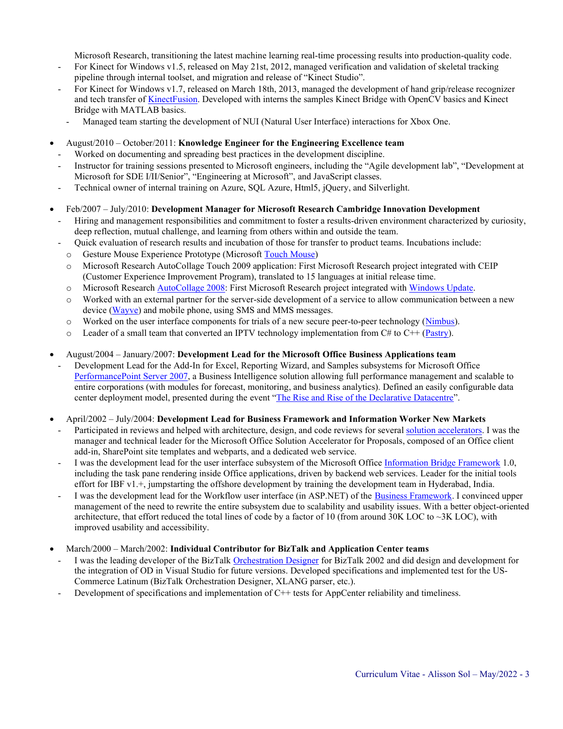Microsoft Research, transitioning the latest machine learning real-time processing results into production-quality code.

- For Kinect for Windows v1.5, released on May 21st, 2012, managed verification and validation of skeletal tracking pipeline through internal toolset, and migration and release of "Kinect Studio".
- For Kinect for Windows v1.7, released on March 18th, 2013, managed the development of hand grip/release recognizer and tech transfer of [KinectFusion.](https://www.microsoft.com/en-us/research/project/kinectfusion-project-page/) Developed with interns the samples Kinect Bridge with OpenCV basics and Kinect Bridge with MATLAB basics.
	- Managed team starting the development of NUI (Natural User Interface) interactions for Xbox One.
- August/2010 October/2011: **Knowledge Engineer for the Engineering Excellence team**
- Worked on documenting and spreading best practices in the development discipline.
- Instructor for training sessions presented to Microsoft engineers, including the "Agile development lab", "Development at Microsoft for SDE I/II/Senior", "Engineering at Microsoft", and JavaScript classes.
- Technical owner of internal training on Azure, SQL Azure, Html5, jQuery, and Silverlight.
- Feb/2007 July/2010: **Development Manager for Microsoft Research Cambridge Innovation Development**
	- Hiring and management responsibilities and commitment to foster a results-driven environment characterized by curiosity, deep reflection, mutual challenge, and learning from others within and outside the team.
	- Quick evaluation of research results and incubation of those for transfer to product teams. Incubations include:
	- o Gesture Mouse Experience Prototype (Microsoft [Touch Mouse\)](https://www.amazon.com/dp/B004HYGU18)
	- o Microsoft Research AutoCollage Touch 2009 application: First Microsoft Research project integrated with CEIP (Customer Experience Improvement Program), translated to 15 languages at initial release time.
	- o Microsoft Research [AutoCollage 2008:](https://en.wikipedia.org/wiki/AutoCollage_2008) First Microsoft Research project integrated with [Windows Update.](https://en.wikipedia.org/wiki/Windows_Update)
	- o Worked with an external partner for the server-side development of a service to allow communication between a new device [\(Wayve\)](https://youtu.be/XmMYmCF96DE?t=13) and mobile phone, using SMS and MMS messages.
	- o Worked on the user interface components for trials of a new secure peer-to-peer technology [\(Nimbus\)](http://research.microsoft.com/en-us/projects/nimbus/default.aspx).
	- $\circ$  Leader of a small team that converted an IPTV technology implementation from C# to C++ [\(Pastry\)](http://rowstron.azurewebsites.net/Pastry/).
- August/2004 January/2007: **Development Lead for the Microsoft Office Business Applications team**
	- Development Lead for the Add-In for Excel, Reporting Wizard, and Samples subsystems for Microsoft Office [PerformancePoint Server 2007,](http://go.microsoft.com/fwlink/?LinkId=125838) a Business Intelligence solution allowing full performance management and scalable to entire corporations (with modules for forecast, monitoring, and business analytics). Defined an easily configurable data center deployment model, presented during the event "[The Rise and Rise of the Declarative Datacentre](http://alissonsol.com/slides/2008-05-A_Service-Oriented_Application_for_an_Enterprise_Datacenter.pdf)".
- April/2002 July/2004: **Development Lead for Business Framework and Information Worker New Markets**
	- Participated in reviews and helped with architecture, design, and code reviews for severa[l solution accelerators.](https://news.microsoft.com/2003/09/22/microsoft-unveils-office-solution-accelerator-program-designed-to-help-deliver-ongoing-value-to-customers-and-partners/) I was the manager and technical leader for the Microsoft Office Solution Accelerator for Proposals, composed of an Office client add-in, SharePoint site templates and webparts, and a dedicated web service.
	- I was the development lead for the user interface subsystem of the Microsoft Office [Information Bridge Framework](http://msdn.microsoft.com/en-us/library/aa679800%28office.11%29.aspx) 1.0, including the task pane rendering inside Office applications, driven by backend web services. Leader for the initial tools effort for IBF v1.+, jumpstarting the offshore development by training the development team in Hyderabad, India.
	- I was the development lead for the Workflow user interface (in ASP.NET) of the [Business Framework.](http://msdn.microsoft.com/en-us/library/aa475163.aspx) I convinced upper management of the need to rewrite the entire subsystem due to scalability and usability issues. With a better object-oriented architecture, that effort reduced the total lines of code by a factor of 10 (from around 30K LOC to  $\sim$ 3K LOC), with improved usability and accessibility.
- March/2000 March/2002: **Individual Contributor for BizTalk and Application Center teams**
	- I was the leading developer of the BizTalk [Orchestration Designer](http://msdn.microsoft.com/en-us/library/ee274738(v=bts.10).aspx) for BizTalk 2002 and did design and development for the integration of OD in Visual Studio for future versions. Developed specifications and implemented test for the US-Commerce Latinum (BizTalk Orchestration Designer, XLANG parser, etc.).
	- Development of specifications and implementation of C++ tests for AppCenter reliability and timeliness.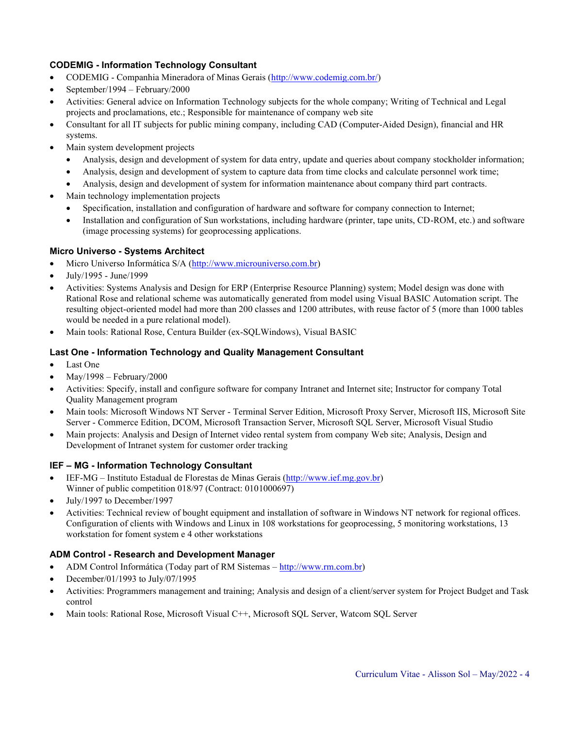# **CODEMIG - Information Technology Consultant**

- CODEMIG Companhia Mineradora of Minas Gerais [\(http://www.codemig.com.br/\)](http://www.codemig.com.br/)
- September/1994 February/2000
- Activities: General advice on Information Technology subjects for the whole company; Writing of Technical and Legal projects and proclamations, etc.; Responsible for maintenance of company web site
- Consultant for all IT subjects for public mining company, including CAD (Computer-Aided Design), financial and HR systems.
- Main system development projects
	- Analysis, design and development of system for data entry, update and queries about company stockholder information;
	- Analysis, design and development of system to capture data from time clocks and calculate personnel work time;
	- Analysis, design and development of system for information maintenance about company third part contracts.
- Main technology implementation projects
	- Specification, installation and configuration of hardware and software for company connection to Internet;
	- Installation and configuration of Sun workstations, including hardware (printer, tape units, CD-ROM, etc.) and software (image processing systems) for geoprocessing applications.

#### **Micro Universo - Systems Architect**

- Micro Universo Informática S/A [\(http://www.microuniverso.com.br\)](http://www.microuniverso.com.br/)
- July/1995 June/1999
- Activities: Systems Analysis and Design for ERP (Enterprise Resource Planning) system; Model design was done with Rational Rose and relational scheme was automatically generated from model using Visual BASIC Automation script. The resulting object-oriented model had more than 200 classes and 1200 attributes, with reuse factor of 5 (more than 1000 tables would be needed in a pure relational model).
- Main tools: Rational Rose, Centura Builder (ex-SQLWindows), Visual BASIC

#### **Last One - Information Technology and Quality Management Consultant**

- Last One
- May/1998 February/2000
- Activities: Specify, install and configure software for company Intranet and Internet site; Instructor for company Total Quality Management program
- Main tools: Microsoft Windows NT Server Terminal Server Edition, Microsoft Proxy Server, Microsoft IIS, Microsoft Site Server - Commerce Edition, DCOM, Microsoft Transaction Server, Microsoft SQL Server, Microsoft Visual Studio
- Main projects: Analysis and Design of Internet video rental system from company Web site; Analysis, Design and Development of Intranet system for customer order tracking

# **IEF – MG - Information Technology Consultant**

- IEF-MG Instituto Estadual de Florestas de Minas Gerais [\(http://www.ief.mg.gov.br\)](http://www.ief.mg.gov.br/) Winner of public competition 018/97 (Contract: 0101000697)
- July/1997 to December/1997
- Activities: Technical review of bought equipment and installation of software in Windows NT network for regional offices. Configuration of clients with Windows and Linux in 108 workstations for geoprocessing, 5 monitoring workstations, 13 workstation for foment system e 4 other workstations

# **ADM Control - Research and Development Manager**

- ADM Control Informática (Today part of RM Sistemas [http://www.rm.com.br\)](http://www.rm.com.br/)
- December/01/1993 to July/07/1995
- Activities: Programmers management and training; Analysis and design of a client/server system for Project Budget and Task control
- Main tools: Rational Rose, Microsoft Visual C++, Microsoft SQL Server, Watcom SQL Server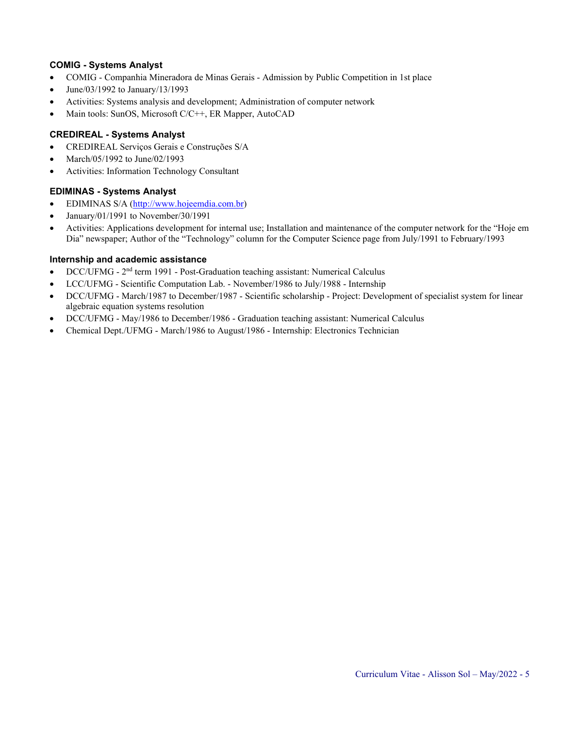#### **COMIG - Systems Analyst**

- COMIG Companhia Mineradora de Minas Gerais Admission by Public Competition in 1st place
- June/03/1992 to January/13/1993
- Activities: Systems analysis and development; Administration of computer network
- Main tools: SunOS, Microsoft C/C++, ER Mapper, AutoCAD

### **CREDIREAL - Systems Analyst**

- CREDIREAL Serviços Gerais e Construções S/A
- March/05/1992 to June/02/1993
- Activities: Information Technology Consultant

#### **EDIMINAS - Systems Analyst**

- EDIMINAS S/A [\(http://www.hojeemdia.com.br\)](http://www.hojeemdia.com.br/)
- January/01/1991 to November/30/1991
- Activities: Applications development for internal use; Installation and maintenance of the computer network for the "Hoje em Dia" newspaper; Author of the "Technology" column for the Computer Science page from July/1991 to February/1993

#### **Internship and academic assistance**

- DCC/UFMG 2<sup>nd</sup> term 1991 Post-Graduation teaching assistant: Numerical Calculus
- LCC/UFMG Scientific Computation Lab. November/1986 to July/1988 Internship
- DCC/UFMG March/1987 to December/1987 Scientific scholarship Project: Development of specialist system for linear algebraic equation systems resolution
- DCC/UFMG May/1986 to December/1986 Graduation teaching assistant: Numerical Calculus
- Chemical Dept./UFMG March/1986 to August/1986 Internship: Electronics Technician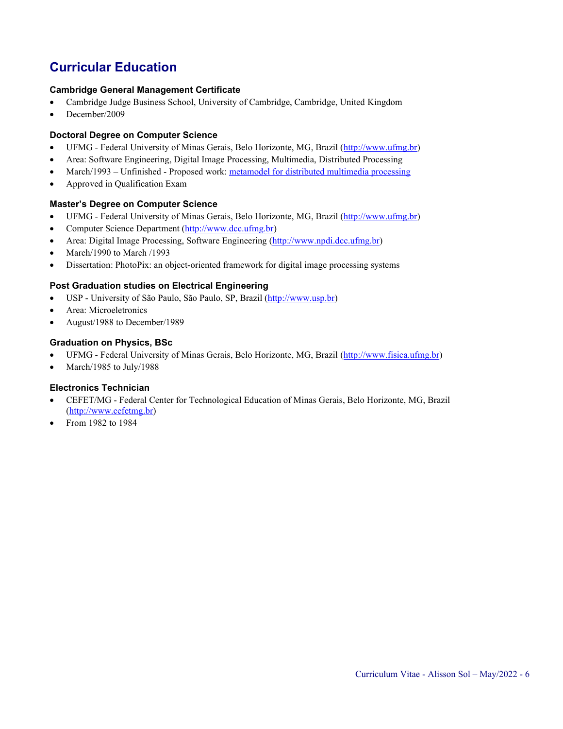# **Curricular Education**

#### **Cambridge General Management Certificate**

- Cambridge Judge Business School, University of Cambridge, Cambridge, United Kingdom
- December/2009

### **Doctoral Degree on Computer Science**

- UFMG Federal University of Minas Gerais, Belo Horizonte, MG, Brazil [\(http://www.ufmg.br\)](http://www.ufmg.br/)
- Area: Software Engineering, Digital Image Processing, Multimedia, Distributed Processing
- March/1993 Unfinished Proposed work: [metamodel for distributed multimedia processing](http://www.alissonsol.com/pub/Sol_Alisson_Distributed_Processing_Metamodel_1998.pdf)
- Approved in Qualification Exam

#### **Master's Degree on Computer Science**

- UFMG Federal University of Minas Gerais, Belo Horizonte, MG, Brazil [\(http://www.ufmg.br\)](http://www.ufmg.br/)
- Computer Science Department [\(http://www.dcc.ufmg.br\)](http://www.dcc.ufmg.br/)
- Area: Digital Image Processing, Software Engineering [\(http://www.npdi.dcc.ufmg.br\)](http://www.npdi.dcc.ufmg.br/)
- March/1990 to March /1993
- Dissertation: PhotoPix: an object-oriented framework for digital image processing systems

#### **Post Graduation studies on Electrical Engineering**

- USP University of São Paulo, São Paulo, SP, Brazil [\(http://www.usp.br\)](http://www.usp.br/)
- Area: Microeletronics
- August/1988 to December/1989

#### **Graduation on Physics, BSc**

- UFMG Federal University of Minas Gerais, Belo Horizonte, MG, Brazil [\(http://www.fisica.ufmg.br\)](http://www.fisica.ufmg.br/)
- March/1985 to July/1988

#### **Electronics Technician**

- CEFET/MG Federal Center for Technological Education of Minas Gerais, Belo Horizonte, MG, Brazil [\(http://www.cefetmg.br\)](http://www.cefetmg.br/)
- From 1982 to 1984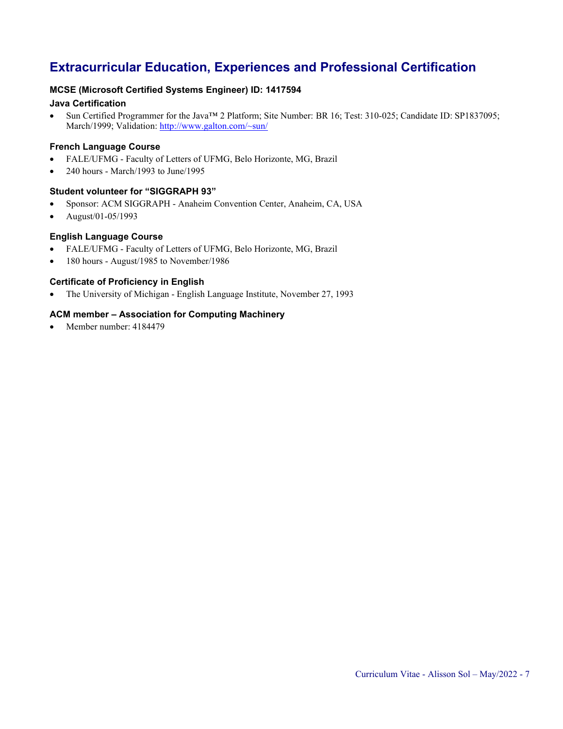# **Extracurricular Education, Experiences and Professional Certification**

# **MCSE (Microsoft Certified Systems Engineer) ID: 1417594**

# **Java Certification**

• Sun Certified Programmer for the Java™ 2 Platform; Site Number: BR 16; Test: 310-025; Candidate ID: SP1837095; March/1999; Validation: <http://www.galton.com/~sun/>

# **French Language Course**

- FALE/UFMG Faculty of Letters of UFMG, Belo Horizonte, MG, Brazil
- 240 hours March/1993 to June/1995

#### **Student volunteer for "SIGGRAPH 93"**

- Sponsor: ACM SIGGRAPH Anaheim Convention Center, Anaheim, CA, USA
- August/01-05/1993

# **English Language Course**

- FALE/UFMG Faculty of Letters of UFMG, Belo Horizonte, MG, Brazil
- 180 hours August/1985 to November/1986

# **Certificate of Proficiency in English**

• The University of Michigan - English Language Institute, November 27, 1993

# **ACM member – Association for Computing Machinery**

Member number: 4184479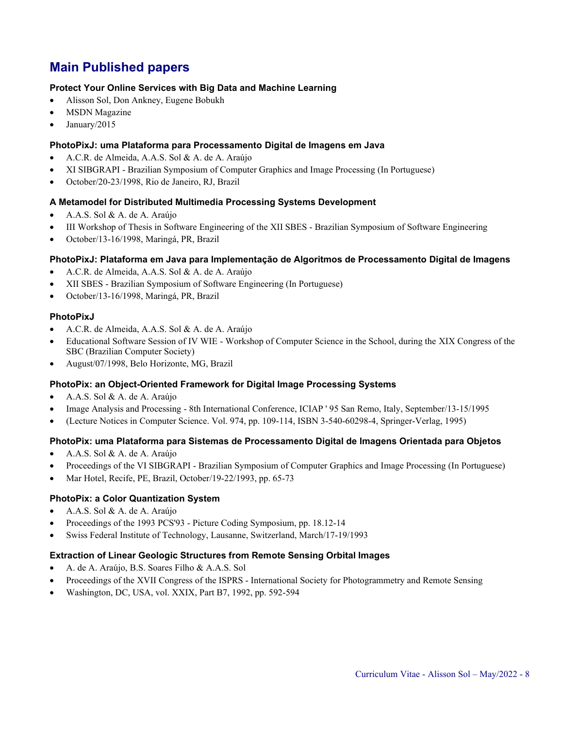# **Main Published papers**

#### **Protect Your Online Services with Big Data and Machine Learning**

- Alisson Sol, Don Ankney, Eugene Bobukh
- **MSDN** Magazine
- January/2015

#### **PhotoPixJ: uma Plataforma para Processamento Digital de Imagens em Java**

- A.C.R. de Almeida, A.A.S. Sol & A. de A. Araújo
- XI SIBGRAPI Brazilian Symposium of Computer Graphics and Image Processing (In Portuguese)
- October/20-23/1998, Rio de Janeiro, RJ, Brazil

#### **A Metamodel for Distributed Multimedia Processing Systems Development**

- A.A.S. Sol & A. de A. Araújo
- III Workshop of Thesis in Software Engineering of the XII SBES Brazilian Symposium of Software Engineering
- October/13-16/1998, Maringá, PR, Brazil

#### **PhotoPixJ: Plataforma em Java para Implementação de Algoritmos de Processamento Digital de Imagens**

- A.C.R. de Almeida, A.A.S. Sol & A. de A. Araújo
- XII SBES Brazilian Symposium of Software Engineering (In Portuguese)
- October/13-16/1998, Maringá, PR, Brazil

#### **PhotoPixJ**

- A.C.R. de Almeida, A.A.S. Sol & A. de A. Araújo
- Educational Software Session of IV WIE Workshop of Computer Science in the School, during the XIX Congress of the SBC (Brazilian Computer Society)
- August/07/1998, Belo Horizonte, MG, Brazil

#### **PhotoPix: an Object-Oriented Framework for Digital Image Processing Systems**

- A.A.S. Sol & A. de A. Araújo
- Image Analysis and Processing 8th International Conference, ICIAP ' 95 San Remo, Italy, September/13-15/1995
- (Lecture Notices in Computer Science. Vol. 974, pp. 109-114, ISBN 3-540-60298-4, Springer-Verlag, 1995)

# **PhotoPix: uma Plataforma para Sistemas de Processamento Digital de Imagens Orientada para Objetos**

- A.A.S. Sol & A. de A. Araújo
- Proceedings of the VI SIBGRAPI Brazilian Symposium of Computer Graphics and Image Processing (In Portuguese)
- Mar Hotel, Recife, PE, Brazil, October/19-22/1993, pp. 65-73

#### **PhotoPix: a Color Quantization System**

- A.A.S. Sol & A. de A. Araújo
- Proceedings of the 1993 PCS'93 Picture Coding Symposium, pp. 18.12-14
- Swiss Federal Institute of Technology, Lausanne, Switzerland, March/17-19/1993

#### **Extraction of Linear Geologic Structures from Remote Sensing Orbital Images**

- A. de A. Araújo, B.S. Soares Filho & A.A.S. Sol
- Proceedings of the XVII Congress of the ISPRS International Society for Photogrammetry and Remote Sensing
- Washington, DC, USA, vol. XXIX, Part B7, 1992, pp. 592-594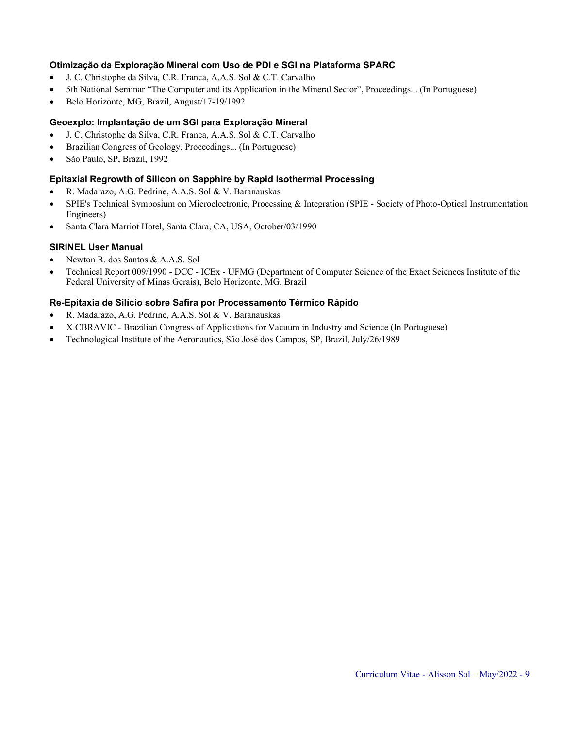### **Otimização da Exploração Mineral com Uso de PDI e SGI na Plataforma SPARC**

- J. C. Christophe da Silva, C.R. Franca, A.A.S. Sol & C.T. Carvalho
- 5th National Seminar "The Computer and its Application in the Mineral Sector", Proceedings... (In Portuguese)
- Belo Horizonte, MG, Brazil, August/17-19/1992

### **Geoexplo: Implantação de um SGI para Exploração Mineral**

- J. C. Christophe da Silva, C.R. Franca, A.A.S. Sol & C.T. Carvalho
- Brazilian Congress of Geology, Proceedings... (In Portuguese)
- São Paulo, SP, Brazil, 1992

#### **Epitaxial Regrowth of Silicon on Sapphire by Rapid Isothermal Processing**

- R. Madarazo, A.G. Pedrine, A.A.S. Sol & V. Baranauskas
- SPIE's Technical Symposium on Microelectronic, Processing & Integration (SPIE Society of Photo-Optical Instrumentation Engineers)
- Santa Clara Marriot Hotel, Santa Clara, CA, USA, October/03/1990

#### **SIRINEL User Manual**

- Newton R. dos Santos & A.A.S. Sol
- Technical Report 009/1990 DCC ICEx UFMG (Department of Computer Science of the Exact Sciences Institute of the Federal University of Minas Gerais), Belo Horizonte, MG, Brazil

#### **Re-Epitaxia de Silício sobre Safira por Processamento Térmico Rápido**

- R. Madarazo, A.G. Pedrine, A.A.S. Sol & V. Baranauskas
- X CBRAVIC Brazilian Congress of Applications for Vacuum in Industry and Science (In Portuguese)
- Technological Institute of the Aeronautics, São José dos Campos, SP, Brazil, July/26/1989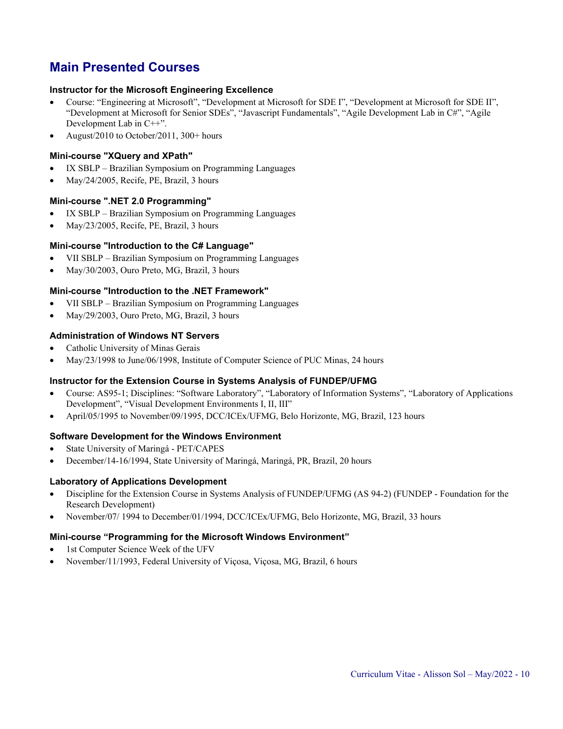# **Main Presented Courses**

#### **Instructor for the Microsoft Engineering Excellence**

- Course: "Engineering at Microsoft", "Development at Microsoft for SDE I", "Development at Microsoft for SDE II", "Development at Microsoft for Senior SDEs", "Javascript Fundamentals", "Agile Development Lab in C#", "Agile Development Lab in C++".
- August/2010 to October/2011, 300+ hours

### **Mini-course "XQuery and XPath"**

- IX SBLP Brazilian Symposium on Programming Languages
- May/24/2005, Recife, PE, Brazil, 3 hours

#### **Mini-course ".NET 2.0 Programming"**

- IX SBLP Brazilian Symposium on Programming Languages
- May/23/2005, Recife, PE, Brazil, 3 hours

#### **Mini-course "Introduction to the C# Language"**

- VII SBLP Brazilian Symposium on Programming Languages
- May/30/2003, Ouro Preto, MG, Brazil, 3 hours

#### **Mini-course "Introduction to the .NET Framework"**

- VII SBLP Brazilian Symposium on Programming Languages
- May/29/2003, Ouro Preto, MG, Brazil, 3 hours

#### **Administration of Windows NT Servers**

- Catholic University of Minas Gerais
- May/23/1998 to June/06/1998, Institute of Computer Science of PUC Minas, 24 hours

# **Instructor for the Extension Course in Systems Analysis of FUNDEP/UFMG**

- Course: AS95-1; Disciplines: "Software Laboratory", "Laboratory of Information Systems", "Laboratory of Applications Development", "Visual Development Environments I, II, III"
- April/05/1995 to November/09/1995, DCC/ICEx/UFMG, Belo Horizonte, MG, Brazil, 123 hours

#### **Software Development for the Windows Environment**

- State University of Maringá PET/CAPES
- December/14-16/1994, State University of Maringá, Maringá, PR, Brazil, 20 hours

#### **Laboratory of Applications Development**

- Discipline for the Extension Course in Systems Analysis of FUNDEP/UFMG (AS 94-2) (FUNDEP Foundation for the Research Development)
- November/07/ 1994 to December/01/1994, DCC/ICEx/UFMG, Belo Horizonte, MG, Brazil, 33 hours

#### **Mini-course "Programming for the Microsoft Windows Environment"**

- 1st Computer Science Week of the UFV
- November/11/1993, Federal University of Viçosa, Viçosa, MG, Brazil, 6 hours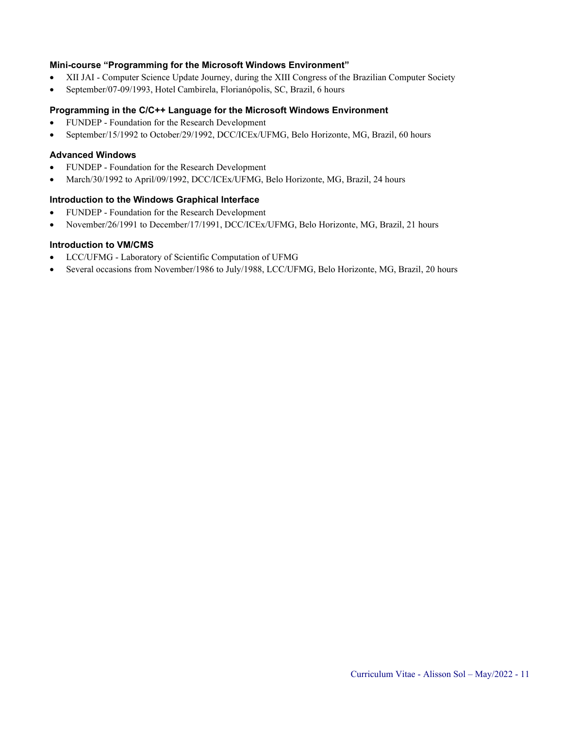#### **Mini-course "Programming for the Microsoft Windows Environment"**

- XII JAI Computer Science Update Journey, during the XIII Congress of the Brazilian Computer Society
- September/07-09/1993, Hotel Cambirela, Florianópolis, SC, Brazil, 6 hours

#### **Programming in the C/C++ Language for the Microsoft Windows Environment**

- FUNDEP Foundation for the Research Development
- September/15/1992 to October/29/1992, DCC/ICEx/UFMG, Belo Horizonte, MG, Brazil, 60 hours

#### **Advanced Windows**

- FUNDEP Foundation for the Research Development
- March/30/1992 to April/09/1992, DCC/ICEx/UFMG, Belo Horizonte, MG, Brazil, 24 hours

#### **Introduction to the Windows Graphical Interface**

- FUNDEP Foundation for the Research Development
- November/26/1991 to December/17/1991, DCC/ICEx/UFMG, Belo Horizonte, MG, Brazil, 21 hours

### **Introduction to VM/CMS**

- LCC/UFMG Laboratory of Scientific Computation of UFMG
- Several occasions from November/1986 to July/1988, LCC/UFMG, Belo Horizonte, MG, Brazil, 20 hours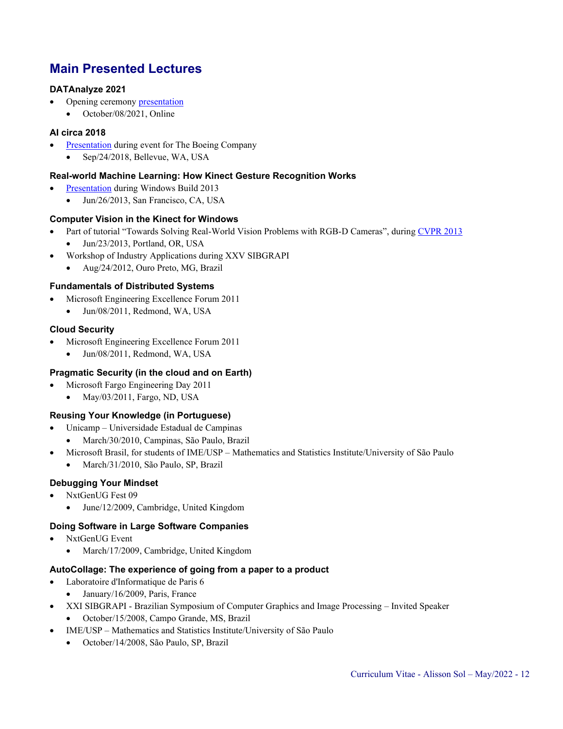# **Main Presented Lectures**

# **DATAnalyze 2021**

- Opening ceremony [presentation](http://alissonsol.com/slides/2021-10-08.DATAnalyze.Alisson.Sol.pdf)
	- October/08/2021, Online

# **AI circa 2018**

- [Presentation](http://alissonsol.com/slides/2018-09-24.AI.for.Boeing.pdf) during event for The Boeing Company
	- Sep/24/2018, Bellevue, WA, USA

# **Real-world Machine Learning: How Kinect Gesture Recognition Works**

- [Presentation](http://channel9.msdn.com/Events/Build/2013/3-704) during Windows Build 2013
	- Jun/26/2013, San Francisco, CA, USA

# **Computer Vision in the Kinect for Windows**

- Part of tutorial "Towards Solving Real-World Vision Problems with RGB-D Cameras", durin[g CVPR 2013](http://files.is.tue.mpg.de/jgall/tutorials/visionRGBD13.html) • Jun/23/2013, Portland, OR, USA
	- Workshop of Industry Applications during XXV SIBGRAPI
	- Aug/24/2012, Ouro Preto, MG, Brazil

# **Fundamentals of Distributed Systems**

- Microsoft Engineering Excellence Forum 2011
	- Jun/08/2011, Redmond, WA, USA

# **Cloud Security**

- Microsoft Engineering Excellence Forum 2011
	- Jun/08/2011, Redmond, WA, USA

# **Pragmatic Security (in the cloud and on Earth)**

- Microsoft Fargo Engineering Day 2011
	- May/03/2011, Fargo, ND, USA

# **Reusing Your Knowledge (in Portuguese)**

- Unicamp Universidade Estadual de Campinas
	- March/30/2010, Campinas, São Paulo, Brazil
	- Microsoft Brasil, for students of IME/USP Mathematics and Statistics Institute/University of São Paulo
	- March/31/2010, São Paulo, SP, Brazil

# **Debugging Your Mindset**

- NxtGenUG Fest 09
	- June/12/2009, Cambridge, United Kingdom

# **Doing Software in Large Software Companies**

- NxtGenUG Event
	- March/17/2009, Cambridge, United Kingdom

# **AutoCollage: The experience of going from a paper to a product**

- Laboratoire d'Informatique de Paris 6
	- January/16/2009, Paris, France
	- XXI SIBGRAPI Brazilian Symposium of Computer Graphics and Image Processing Invited Speaker
	- October/15/2008, Campo Grande, MS, Brazil
- IME/USP Mathematics and Statistics Institute/University of São Paulo
	- October/14/2008, São Paulo, SP, Brazil